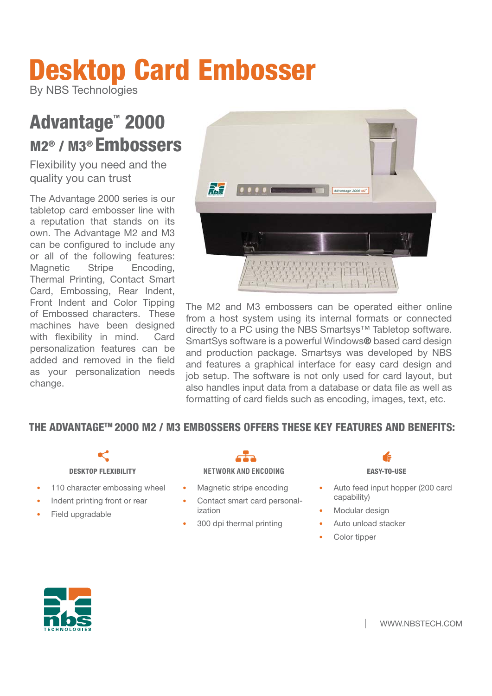# **Desktop Card Embosser**

By NBS Technologies

## Advantage<sup>"</sup> 2000 **M2® / M3® Embossers s**

Flexibility you need and the quality you can trust

The Advantage 2000 series is our tabletop card embosser line with a reputation that stands on its own. The Advantage M2 and M3 can be configured to include any or all of the following features: Magnetic Stripe Encoding, Thermal Printing, Contact Smart Card, Embossing, Rear Indent, Front Indent and Color Tipping of Embossed characters. These machines have been designed with flexibility in mind. Card personalization features can be added and removed in the field as your personalization needs change.



The M2 and M3 embossers can be operated either online from a host system using its internal formats or connected directly to a PC using the NBS Smartsys™ Tabletop software. SmartSys software is a powerful Windows**®** based card design and production package. Smartsys was developed by NBS and features a graphical interface for easy card design and job setup. The software is not only used for card layout, but also handles input data from a database or data file as well as formatting of card fields such as encoding, images, text, etc.

## **THE ADVANTAGETM 20OO M2 / M3 EMBOSSERS OFFERS THESE KEY FEATURES AND BENEFITS:**

- 110 character embossing wheel
- Indent printing front or rear
- Field upgradable

### **DESKTOP FLEXIBILITY NETWORK AND ENCODING EASY-TO-USE**

- Magnetic stripe encoding
- Contact smart card personalization
- 300 dpi thermal printing

- Auto feed input hopper (200 card capability)
- Modular design
- Auto unload stacker
- Color tipper